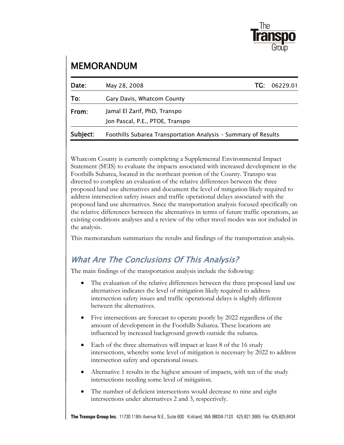

# MEMORANDUM

| Date:    | May 28, 2008                                                   | TG : | 06229.01 |  |  |  |  |  |
|----------|----------------------------------------------------------------|------|----------|--|--|--|--|--|
| To:      | Gary Davis, Whatcom County                                     |      |          |  |  |  |  |  |
| From:    | Jamal El Zarif, PhD, Transpo                                   |      |          |  |  |  |  |  |
|          | Jon Pascal, P.E., PTOE, Transpo                                |      |          |  |  |  |  |  |
| Subject: | Foothills Subarea Transportation Analysis - Summary of Results |      |          |  |  |  |  |  |

Whatcom County is currently completing a Supplemental Environmental Impact Statement (SEIS) to evaluate the impacts associated with increased development in the Foothills Subarea, located in the northeast portion of the County. Transpo was directed to complete an evaluation of the relative differences between the three proposed land use alternatives and document the level of mitigation likely required to address intersection safety issues and traffic operational delays associated with the proposed land use alternatives. Since the transportation analysis focused specifically on the relative differences between the alternatives in terms of future traffic operations, an existing conditions analyses and a review of the other travel modes was not included in the analysis.

This memorandum summarizes the results and findings of the transportation analysis.

#### What Are The Conclusions Of This Analysis?

The main findings of the transportation analysis include the following:

- The evaluation of the relative differences between the three proposed land use alternatives indicates the level of mitigation likely required to address intersection safety issues and traffic operational delays is slightly different between the alternatives.
- Five intersections are forecast to operate poorly by 2022 regardless of the amount of development in the Foothills Subarea. These locations are influenced by increased background growth outside the subarea.
- Each of the three alternatives will impact at least 8 of the 16 study intersections, whereby some level of mitigation is necessary by 2022 to address intersection safety and operational issues.
- Alternative 1 results in the highest amount of impacts, with ten of the study intersections needing some level of mitigation.
- The number of deficient intersections would decrease to nine and eight intersections under alternatives 2 and 3, respectively.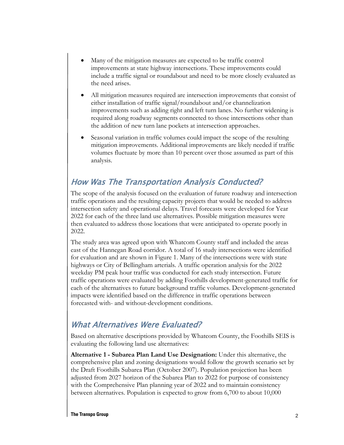- Many of the mitigation measures are expected to be traffic control improvements at state highway intersections. These improvements could include a traffic signal or roundabout and need to be more closely evaluated as the need arises.
- All mitigation measures required are intersection improvements that consist of either installation of traffic signal/roundabout and/or channelization improvements such as adding right and left turn lanes. No further widening is required along roadway segments connected to those intersections other than the addition of new turn lane pockets at intersection approaches.
- Seasonal variation in traffic volumes could impact the scope of the resulting mitigation improvements. Additional improvements are likely needed if traffic volumes fluctuate by more than 10 percent over those assumed as part of this analysis.

#### How Was The Transportation Analysis Conducted?

The scope of the analysis focused on the evaluation of future roadway and intersection traffic operations and the resulting capacity projects that would be needed to address intersection safety and operational delays. Travel forecasts were developed for Year 2022 for each of the three land use alternatives. Possible mitigation measures were then evaluated to address those locations that were anticipated to operate poorly in 2022.

The study area was agreed upon with Whatcom County staff and included the areas east of the Hannegan Road corridor. A total of 16 study intersections were identified for evaluation and are shown in Figure 1. Many of the intersections were with state highways or City of Bellingham arterials. A traffic operation analysis for the 2022 weekday PM peak hour traffic was conducted for each study intersection. Future traffic operations were evaluated by adding Foothills development-generated traffic for each of the alternatives to future background traffic volumes. Development-generated impacts were identified based on the difference in traffic operations between forecasted with- and without-development conditions.

#### What Alternatives Were Evaluated?

Based on alternative descriptions provided by Whatcom County, the Foothills SEIS is evaluating the following land use alternatives:

**Alternative 1 - Subarea Plan Land Use Designation:** Under this alternative, the comprehensive plan and zoning designations would follow the growth scenario set by the Draft Foothills Subarea Plan (October 2007). Population projection has been adjusted from 2027 horizon of the Subarea Plan to 2022 for purpose of consistency with the Comprehensive Plan planning year of 2022 and to maintain consistency between alternatives. Population is expected to grow from 6,700 to about 10,000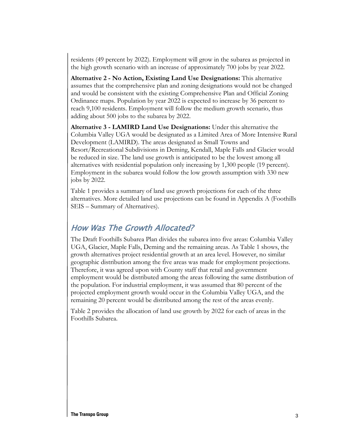residents (49 percent by 2022). Employment will grow in the subarea as projected in the high growth scenario with an increase of approximately 700 jobs by year 2022.

**Alternative 2 - No Action, Existing Land Use Designations:** This alternative assumes that the comprehensive plan and zoning designations would not be changed and would be consistent with the existing Comprehensive Plan and Official Zoning Ordinance maps. Population by year 2022 is expected to increase by 36 percent to reach 9,100 residents. Employment will follow the medium growth scenario, thus adding about 500 jobs to the subarea by 2022.

**Alternative 3 - LAMIRD Land Use Designations:** Under this alternative the Columbia Valley UGA would be designated as a Limited Area of More Intensive Rural Development (LAMIRD). The areas designated as Small Towns and Resort/Recreational Subdivisions in Deming, Kendall, Maple Falls and Glacier would be reduced in size. The land use growth is anticipated to be the lowest among all alternatives with residential population only increasing by 1,300 people (19 percent). Employment in the subarea would follow the low growth assumption with 330 new jobs by 2022.

Table 1 provides a summary of land use growth projections for each of the three alternatives. More detailed land use projections can be found in Appendix A (Foothills SEIS – Summary of Alternatives).

#### How Was The Growth Allocated?

The Draft Foothills Subarea Plan divides the subarea into five areas: Columbia Valley UGA, Glacier, Maple Falls, Deming and the remaining areas. As Table 1 shows, the growth alternatives project residential growth at an area level. However, no similar geographic distribution among the five areas was made for employment projections. Therefore, it was agreed upon with County staff that retail and government employment would be distributed among the areas following the same distribution of the population. For industrial employment, it was assumed that 80 percent of the projected employment growth would occur in the Columbia Valley UGA, and the remaining 20 percent would be distributed among the rest of the areas evenly.

Table 2 provides the allocation of land use growth by 2022 for each of areas in the Foothills Subarea.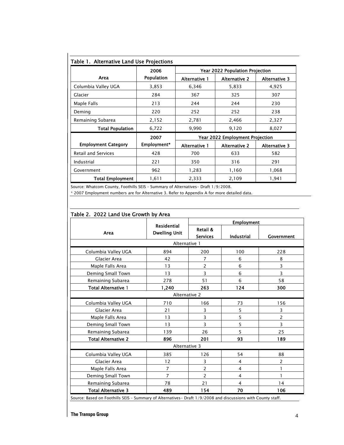|                            | 2006        | Year 2022 Population Projection |                                        |                      |  |  |  |  |
|----------------------------|-------------|---------------------------------|----------------------------------------|----------------------|--|--|--|--|
| Area                       | Population  | <b>Alternative 1</b>            | <b>Alternative 2</b>                   | <b>Alternative 3</b> |  |  |  |  |
| Columbia Valley UGA        | 3,853       | 6,346                           | 5,833                                  | 4,925                |  |  |  |  |
| Glacier                    | 284         | 367                             | 325                                    | 307                  |  |  |  |  |
| Maple Falls                | 213         | 244                             | 244                                    | 230                  |  |  |  |  |
| Deming                     | 220         | 252                             | 252                                    | 238                  |  |  |  |  |
| Remaining Subarea          | 2,152       | 2,781                           | 2,466                                  | 2,327                |  |  |  |  |
| <b>Total Population</b>    | 6,722       | 9,990                           | 9,120                                  | 8,027                |  |  |  |  |
|                            | 2007        |                                 | <b>Year 2022 Employment Projection</b> |                      |  |  |  |  |
| <b>Employment Category</b> | Employment* | Alternative 1                   | <b>Alternative 2</b>                   | Alternative 3        |  |  |  |  |
| <b>Retail and Services</b> | 428         | 700                             | 633                                    | 582                  |  |  |  |  |
| Industrial                 | 221         | 350                             | 316                                    | 291                  |  |  |  |  |
| Government                 | 962         | 1,283                           | 1,160                                  | 1,068                |  |  |  |  |
| <b>Total Employment</b>    | 1,611       | 2,333                           | 2,109                                  | 1,941                |  |  |  |  |

Source: Whatcom County, Foothills SEIS – Summary of Alternatives- Draft 1/9/2008.

\* 2007 Employment numbers are for Alternative 3. Refer to Appendix A for more detailed data.

|                            | <b>Residential</b>   | <b>Employment</b>           |                |                |  |  |  |
|----------------------------|----------------------|-----------------------------|----------------|----------------|--|--|--|
| Area                       | <b>Dwelling Unit</b> | Retail &<br><b>Services</b> | Industrial     | Government     |  |  |  |
|                            | Alternative 1        |                             |                |                |  |  |  |
| Columbia Valley UGA        | 894                  | 200                         | 100            | 228            |  |  |  |
| Glacier Area               | 42                   | 7                           | 6              | 8              |  |  |  |
| Maple Falls Area           | 13                   | $\overline{2}$              | 6              | 3              |  |  |  |
| Deming Small Town          | 13                   | 3                           | 6              | 3              |  |  |  |
| Remaining Subarea          | 278                  | 51                          | 6              | 58             |  |  |  |
| <b>Total Alternative 1</b> | 1,240                | 263                         | 124            | 300            |  |  |  |
|                            | Alternative 2        |                             |                |                |  |  |  |
| Columbia Valley UGA        | 710                  | 166                         | 73             | 156            |  |  |  |
| Glacier Area               | 21                   | 3                           | 5              | 3              |  |  |  |
| Maple Falls Area           | 13                   | 3                           | 5              | 2              |  |  |  |
| Deming Small Town          | 13                   | 3                           | 5              | 3              |  |  |  |
| Remaining Subarea          | 139                  | 26                          | 5              | 25             |  |  |  |
| <b>Total Alternative 2</b> | 896                  | 201                         | 93             | 189            |  |  |  |
|                            | Alternative 3        |                             |                |                |  |  |  |
| Columbia Valley UGA        | 385                  | 126                         | 54             | 88             |  |  |  |
| Glacier Area               | 12                   | 3                           | 4              | $\overline{c}$ |  |  |  |
| Maple Falls Area           | 7                    | $\overline{2}$              | $\overline{4}$ |                |  |  |  |
| Deming Small Town          | $\overline{7}$       | $\overline{c}$              | 4              | 1              |  |  |  |
| Remaining Subarea          | 78                   | 21                          | 4              | 14             |  |  |  |
| <b>Total Alternative 3</b> | 489                  | 154                         | 70             | 106            |  |  |  |

#### Table 2. 2022 Land Use Growth by Area

**The Transpo Group**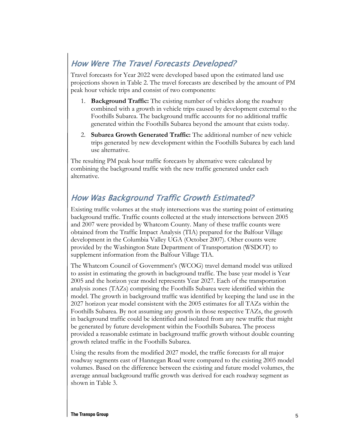# How Were The Travel Forecasts Developed?

Travel forecasts for Year 2022 were developed based upon the estimated land use projections shown in Table 2. The travel forecasts are described by the amount of PM peak hour vehicle trips and consist of two components:

- 1. **Background Traffic:** The existing number of vehicles along the roadway combined with a growth in vehicle trips caused by development external to the Foothills Subarea. The background traffic accounts for no additional traffic generated within the Foothills Subarea beyond the amount that exists today.
- 2. **Subarea Growth Generated Traffic:** The additional number of new vehicle trips generated by new development within the Foothills Subarea by each land use alternative.

The resulting PM peak hour traffic forecasts by alternative were calculated by combining the background traffic with the new traffic generated under each alternative.

### How Was Background Traffic Growth Estimated?

Existing traffic volumes at the study intersections was the starting point of estimating background traffic. Traffic counts collected at the study intersections between 2005 and 2007 were provided by Whatcom County. Many of these traffic counts were obtained from the Traffic Impact Analysis (TIA) prepared for the Balfour Village development in the Columbia Valley UGA (October 2007). Other counts were provided by the Washington State Department of Transportation (WSDOT) to supplement information from the Balfour Village TIA.

The Whatcom Council of Government's (WCOG) travel demand model was utilized to assist in estimating the growth in background traffic. The base year model is Year 2005 and the horizon year model represents Year 2027. Each of the transportation analysis zones (TAZs) comprising the Foothills Subarea were identified within the model. The growth in background traffic was identified by keeping the land use in the 2027 horizon year model consistent with the 2005 estimates for all TAZs within the Foothills Subarea. By not assuming any growth in those respective TAZs, the growth in background traffic could be identified and isolated from any new traffic that might be generated by future development within the Foothills Subarea. The process provided a reasonable estimate in background traffic growth without double counting growth related traffic in the Foothills Subarea.

Using the results from the modified 2027 model, the traffic forecasts for all major roadway segments east of Hannegan Road were compared to the existing 2005 model volumes. Based on the difference between the existing and future model volumes, the average annual background traffic growth was derived for each roadway segment as shown in Table 3.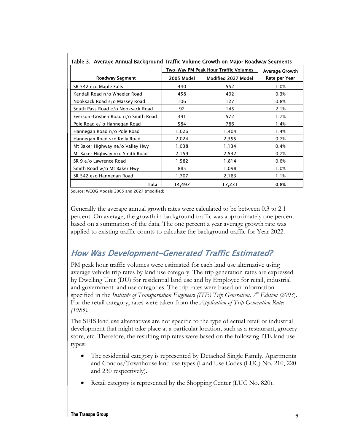|                                    | Two-Way PM Peak Hour Traffic Volumes | <b>Average Growth</b> |               |
|------------------------------------|--------------------------------------|-----------------------|---------------|
| <b>Roadway Segment</b>             | 2005 Model                           | Modified 2027 Model   | Rate per Year |
| SR 542 e/o Maple Falls             | 440                                  | 552                   | 1.0%          |
| Kendall Road n/o Wheeler Road      | 458                                  | 492                   | 0.3%          |
| Nooksack Road s/o Massey Road      | 106                                  | 127                   | 0.8%          |
| South Pass Road e/o Nooksack Road  | 92                                   | 145                   | 2.1%          |
| Everson-Goshen Road n/o Smith Road | 391                                  | 572                   | 1.7%          |
| Pole Road e/ o Hannegan Road       | 584                                  | 786                   | 1.4%          |
| Hannegan Road n/o Pole Road        | 1,026                                | 1,404                 | 1.4%          |
| Hannegan Road s/o Kelly Road       | 2,024                                | 2,355                 | 0.7%          |
| Mt Baker Highway ne/o Valley Hwy   | 1,038                                | 1,134                 | 0.4%          |
| Mt Baker Highway n/o Smith Road    | 2,159                                | 2,542                 | 0.7%          |
| SR 9 e/o Lawrence Road             | 1,582                                | 1,814                 | 0.6%          |
| Smith Road w/o Mt Baker Hwy        | 885                                  | 1,098                 | 1.0%          |
| SR 542 e/o Hannegan Road           | 1,707                                | 2,183                 | 1.1%          |
| Total                              | 14,497                               | 17,231                | 0.8%          |

Source: WCOG Models 2005 and 2027 (modified)

Generally the average annual growth rates were calculated to be between 0.3 to 2.1 percent. On average, the growth in background traffic was approximately one percent based on a summation of the data. The one percent a year average growth rate was applied to existing traffic counts to calculate the background traffic for Year 2022.

#### How Was Development-Generated Traffic Estimated?

PM peak hour traffic volumes were estimated for each land use alternative using average vehicle trip rates by land use category. The trip generation rates are expressed by Dwelling Unit (DU) for residential land use and by Employee for retail, industrial and government land use categories. The trip rates were based on information specified in the *Institute of Transportation Engineers (ITE) Trip Generation,* 7<sup>th</sup> Edition (2003). For the retail category, rates were taken from the *Application of Trip Generation Rates (1985)*.

The SEIS land use alternatives are not specific to the type of actual retail or industrial development that might take place at a particular location, such as a restaurant, grocery store, etc. Therefore, the resulting trip rates were based on the following ITE land use types:

- The residential category is represented by Detached Single Family, Apartments and Condos/Townhouse land use types (Land Use Codes (LUC) No. 210, 220 and 230 respectively).
- Retail category is represented by the Shopping Center (LUC No. 820).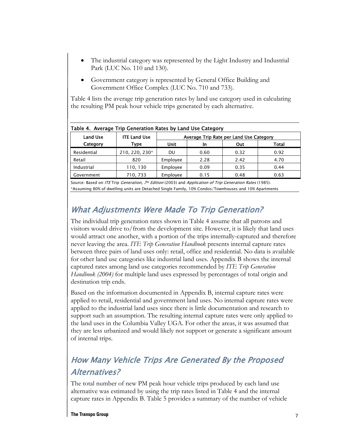- The industrial category was represented by the Light Industry and Industrial Park (LUC No. 110 and 130).
- Government category is represented by General Office Building and Government Office Complex (LUC No. 710 and 733).

Table 4 lists the average trip generation rates by land use category used in calculating the resulting PM peak hour vehicle trips generated by each alternative.

| <b>Land Use</b> | <b>ITE Land Use</b> | Average Trip Rate per Land Use Category |      |      |       |  |  |  |  |
|-----------------|---------------------|-----------------------------------------|------|------|-------|--|--|--|--|
| Category        | Type                | Unit                                    | In   | Out  | Total |  |  |  |  |
| Residential     | 210, 220, 230*      | DU                                      | 0.60 | 0.32 | 0.92  |  |  |  |  |
| Retail          | 820                 | Employee                                | 2.28 | 2.42 | 4.70  |  |  |  |  |
| Industrial      | 110, 130            | Employee                                | 0.09 | 0.35 | 0.44  |  |  |  |  |
| Government      | 710, 733            | Employee                                | 0.15 | 0.48 | 0.63  |  |  |  |  |

#### Table 4. Average Trip Generation Rates by Land Use Category

Source: Based on ITE Trip Generation, 7th Edition (2003) and Application of Trip Generation Rates (1985). \*Assuming 80% of dwelling units are Detached Single Family, 10% Condos/Townhouses and 10% Apartments

#### What Adjustments Were Made To Trip Generation?

The individual trip generation rates shown in Table 4 assume that all patrons and visitors would drive to/from the development site. However, it is likely that land uses would attract one another, with a portion of the trips internally-captured and therefore never leaving the area. *ITE Trip Generation Handbook* presents internal capture rates between three pairs of land uses only: retail, office and residential. No data is available for other land use categories like industrial land uses. Appendix B shows the internal captured rates among land use categories recommended by *ITE Trip Generation Handbook (2004)* for multiple land uses expressed by percentages of total origin and destination trip ends.

Based on the information documented in Appendix B, internal capture rates were applied to retail, residential and government land uses. No internal capture rates were applied to the industrial land uses since there is little documentation and research to support such an assumption. The resulting internal capture rates were only applied to the land uses in the Columbia Valley UGA. For other the areas, it was assumed that they are less urbanized and would likely not support or generate a significant amount of internal trips.

# How Many Vehicle Trips Are Generated By the Proposed Alternatives?

The total number of new PM peak hour vehicle trips produced by each land use alternative was estimated by using the trip rates listed in Table 4 and the internal capture rates in Appendix B. Table 5 provides a summary of the number of vehicle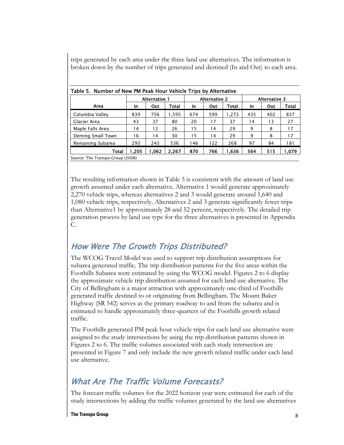trips generated by each area under the three land use alternatives. The information is broken down by the number of trips generated and destined (In and Out) to each area.

| Table 5. Number of New PM Peak Hour Vehicle Trips by Alternative |                      |      |       |     |                      |       |                      |     |       |  |
|------------------------------------------------------------------|----------------------|------|-------|-----|----------------------|-------|----------------------|-----|-------|--|
|                                                                  | <b>Alternative 1</b> |      |       |     | <b>Alternative 2</b> |       | <b>Alternative 3</b> |     |       |  |
| Area                                                             | In                   | Out  | Total | In  | Out                  | Total | <b>In</b>            | Out | Total |  |
| Columbia Valley                                                  | 839                  | 756  | 1,595 | 674 | 599                  | 1.273 | 435                  | 402 | 837   |  |
| Glacier Area                                                     | 43                   | 37   | 80    | 20  | 17                   | 37    | 14                   | 13  | 27    |  |
| Maple Falls Area                                                 | 14                   | 12   | 26    | 15  | 14                   | 29    | 9                    | 8   | 17    |  |
| Deming Small Town                                                | 16                   | 14   | 30    | 15  | 14                   | 29    | 9                    | 8   | 17    |  |
| Remaining Subarea                                                | 293                  | 243  | 536   | 146 | 122                  | 268   | 97                   | 84  | 181   |  |
| Total                                                            | 1.205                | .062 | 2.267 | 870 | 766                  | 1.636 | 564                  | 515 | 1.079 |  |
| Source: The Transpo Group (2008)                                 |                      |      |       |     |                      |       |                      |     |       |  |

The resulting information shown in Table 5 is consistent with the amount of land use growth assumed under each alternative. Alternative 1 would generate approximately 2,270 vehicle trips, whereas alternatives 2 and 3 would generate around 1,640 and 1,080 vehicle trips, respectively. Alternatives 2 and 3 generate significantly fewer trips than Alternative1 by approximately 28 and 52 percent, respectively. The detailed trip generation process by land use type for the three alternatives is presented in Appendix C.

### How Were The Growth Trips Distributed?

The WCOG Travel Model was used to support trip distribution assumptions for subarea generated traffic. The trip distribution patterns for the five areas within the Foothills Subarea were estimated by using the WCOG model. Figures 2 to 6 display the approximate vehicle trip distribution assumed for each land use alternative. The City of Bellingham is a major attraction with approximately one-third of Foothills generated traffic destined to or originating from Bellingham. The Mount Baker Highway (SR 542) serves as the primary roadway to and from the subarea and is estimated to handle approximately three-quarters of the Foothills growth related traffic.

The Foothills generated PM peak hour vehicle trips for each land use alternative were assigned to the study intersections by using the trip distribution patterns shown in Figures 2 to 6. The traffic volumes associated with each study intersection are presented in Figure 7 and only include the new growth related traffic under each land use alternative.

## What Are The Traffic Volume Forecasts?

The forecast traffic volumes for the 2022 horizon year were estimated for each of the study intersections by adding the traffic volumes generated by the land use alternatives

**The Transpo Group**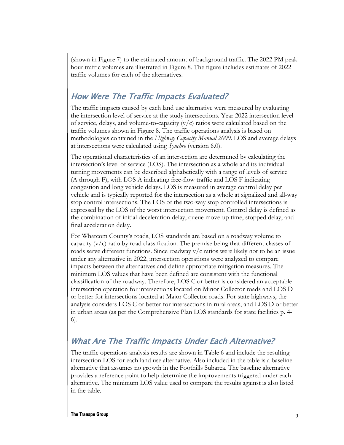(shown in Figure 7) to the estimated amount of background traffic. The 2022 PM peak hour traffic volumes are illustrated in Figure 8. The figure includes estimates of 2022 traffic volumes for each of the alternatives.

### How Were The Traffic Impacts Evaluated?

The traffic impacts caused by each land use alternative were measured by evaluating the intersection level of service at the study intersections. Year 2022 intersection level of service, delays, and volume-to-capacity  $(v/c)$  ratios were calculated based on the traffic volumes shown in Figure 8. The traffic operations analysis is based on methodologies contained in the *Highway Capacity Manual 2000*. LOS and average delays at intersections were calculated using *Synchro* (version 6.0).

The operational characteristics of an intersection are determined by calculating the intersection's level of service (LOS). The intersection as a whole and its individual turning movements can be described alphabetically with a range of levels of service (A through F), with LOS A indicating free-flow traffic and LOS F indicating congestion and long vehicle delays. LOS is measured in average control delay per vehicle and is typically reported for the intersection as a whole at signalized and all-way stop control intersections. The LOS of the two-way stop controlled intersections is expressed by the LOS of the worst intersection movement. Control delay is defined as the combination of initial deceleration delay, queue move-up time, stopped delay, and final acceleration delay.

For Whatcom County's roads, LOS standards are based on a roadway volume to capacity  $(v/c)$  ratio by road classification. The premise being that different classes of roads serve different functions. Since roadway  $v/c$  ratios were likely not to be an issue under any alternative in 2022, intersection operations were analyzed to compare impacts between the alternatives and define appropriate mitigation measures. The minimum LOS values that have been defined are consistent with the functional classification of the roadway. Therefore, LOS C or better is considered an acceptable intersection operation for intersections located on Minor Collector roads and LOS D or better for intersections located at Major Collector roads. For state highways, the analysis considers LOS C or better for intersections in rural areas, and LOS D or better in urban areas (as per the Comprehensive Plan LOS standards for state facilities p. 4- 6).

#### What Are The Traffic Impacts Under Each Alternative?

The traffic operations analysis results are shown in Table 6 and include the resulting intersection LOS for each land use alternative. Also included in the table is a baseline alternative that assumes no growth in the Foothills Subarea. The baseline alternative provides a reference point to help determine the improvements triggered under each alternative. The minimum LOS value used to compare the results against is also listed in the table.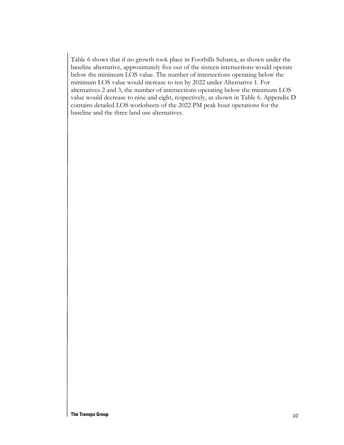Table 6 shows that if no growth took place in Foothills Subarea, as shown under the baseline alternative, approximately five out of the sixteen intersections would operate below the minimum LOS value. The number of intersections operating below the minimum LOS value would increase to ten by 2022 under Alternative 1. For alternatives 2 and 3, the number of intersections operating below the minimum LOS value would decrease to nine and eight, respectively, as shown in Table 6. Appendix D contains detailed LOS worksheets of the 2022 PM peak hour operations for the baseline and the three land use alternatives.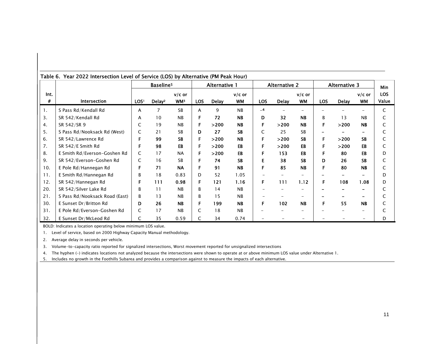|           | Table 6. Tear 2022 intersection Level of Service (LOS) by Alternative (PM Peak Hour) |                  |                       |                             |            |               |                       |                      |              |                       |                      |              |                       |                     |
|-----------|--------------------------------------------------------------------------------------|------------------|-----------------------|-----------------------------|------------|---------------|-----------------------|----------------------|--------------|-----------------------|----------------------|--------------|-----------------------|---------------------|
|           |                                                                                      |                  | Baseline <sup>5</sup> |                             |            | Alternative 1 |                       | <b>Alternative 2</b> |              |                       | <b>Alternative 3</b> |              |                       | <b>Min</b>          |
| Int.<br># | Intersection                                                                         | LOS <sup>1</sup> | Delay <sup>2</sup>    | $v/c$ or<br>WM <sup>3</sup> | <b>LOS</b> | <b>Delay</b>  | $v/c$ or<br><b>WM</b> | <b>LOS</b>           | <b>Delay</b> | $v/c$ or<br><b>WM</b> | LOS                  | <b>Delay</b> | $v/c$ or<br><b>WM</b> | <b>LOS</b><br>Value |
| 1.        | S Pass Rd/Kendall Rd                                                                 | A                |                       | <b>SB</b>                   | A          | 9             | <b>NB</b>             | $-4$                 |              |                       |                      |              |                       | C                   |
| 3.        | SR 542/Kendall Rd                                                                    | A                | 10                    | <b>NB</b>                   | F          | 72            | <b>NB</b>             | D                    | 32           | <b>NB</b>             | B                    | 13           | <b>NB</b>             | C                   |
| 4.        | SR 542/SR 9                                                                          | C                | 19                    | <b>NB</b>                   |            | >200          | <b>NB</b>             |                      | >200         | <b>NB</b>             | F                    | >200         | <b>NB</b>             | C                   |
| 5.        | S Pass Rd/Nooksack Rd (West)                                                         | C                | 21                    | <b>SB</b>                   | D.         | 27            | <b>SB</b>             | C                    | 25           | <b>SB</b>             |                      |              | -                     |                     |
| 6.        | SR 542/Lawrence Rd                                                                   | F                | 99                    | <b>SB</b>                   | F.         | >200          | <b>NB</b>             | F                    | >200         | <b>SB</b>             | F.                   | >200         | <b>SB</b>             | C                   |
| 7.        | SR 542/E Smith Rd                                                                    | F                | 98                    | EB                          | F          | >200          | EB                    |                      | >200         | EB                    | F                    | >200         | EB                    | C                   |
| 8.        | E Smith Rd/Everson-Goshen Rd                                                         | C                | 17                    | <b>NA</b>                   |            | >200          | EB                    |                      | 153          | EB                    |                      | 80           | EB                    | D                   |
| 9.        | SR 542/Everson-Goshen Rd                                                             | C                | 16                    | <b>SB</b>                   |            | 74            | <b>SB</b>             |                      | 38           | <b>SB</b>             | D                    | 26           | <b>SB</b>             | C                   |
| 10.       | E Pole Rd/Hannegan Rd                                                                | F                | 71                    | <b>NA</b>                   | F          | 91            | <b>NB</b>             | F                    | 85           | <b>NB</b>             | F                    | 80           | <b>NB</b>             | C                   |
| 11.       | E Smith Rd/Hannegan Rd                                                               | В                | 18                    | 0.83                        | D          | 52            | 1.05                  |                      |              |                       |                      |              |                       | D                   |
| 12.       | SR 542/Hannegan Rd                                                                   | F                | 111                   | 0.98                        | F          | 121           | 1.16                  | F                    | 111          | 1.12                  | F                    | 108          | 1.08                  | D                   |
| 20.       | SR 542/Silver Lake Rd                                                                | В                | 11                    | <b>NB</b>                   | B          | 14            | <b>NB</b>             |                      |              |                       |                      |              |                       |                     |
| 21.       | S Pass Rd/Nooksack Road (East)                                                       | B                | 13                    | <b>NB</b>                   | B          | 15            | <b>NB</b>             |                      |              |                       |                      |              |                       |                     |
| 30.       | E Sunset Dr/Britton Rd                                                               | D                | 26                    | <b>NB</b>                   | F          | 199           | <b>NB</b>             | F                    | 102          | <b>NB</b>             | F                    | 55           | <b>NB</b>             |                     |
| 31.       | E Pole Rd/Everson-Goshen Rd                                                          | C                | 17                    | <b>NB</b>                   | C          | 18            | NB                    |                      |              |                       |                      |              |                       |                     |
| 32.       | E Sunset Dr/McLeod Rd                                                                | C                | 35                    | 0.59                        | C          | 34            | 0.74                  |                      |              |                       |                      |              |                       | D                   |

Table 6. Year 2022 Intersection Level of Service (LOS) by Alternative (PM Peak Hour)

BOLD: Indicates a location operating below minimum LOS value.

1. Level of service, based on 2000 Highway Capacity Manual methodology.

2. Average delay in seconds per vehicle.

3. Volume-to-capacity ratio reported for signalized intersections, Worst movement reported for unsignalized intersections

4. The hyphen (-) indicates locations not analyzed because the intersections were shown to operate at or above minimum LOS value under Alternative 1.

5. Includes no growth in the Foothills Subarea and provides a comparison against to measure the impacts of each alternative.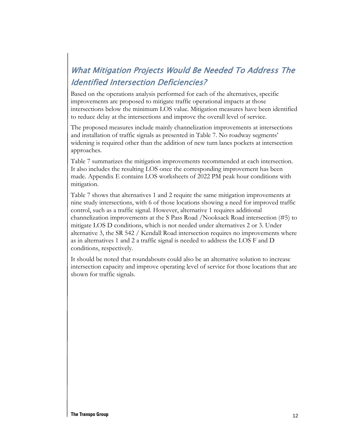# What Mitigation Projects Would Be Needed To Address The Identified Intersection Deficiencies?

Based on the operations analysis performed for each of the alternatives, specific improvements are proposed to mitigate traffic operational impacts at those intersections below the minimum LOS value. Mitigation measures have been identified to reduce delay at the intersections and improve the overall level of service.

The proposed measures include mainly channelization improvements at intersections and installation of traffic signals as presented in Table 7. No roadway segments' widening is required other than the addition of new turn lanes pockets at intersection approaches.

Table 7 summarizes the mitigation improvements recommended at each intersection. It also includes the resulting LOS once the corresponding improvement has been made. Appendix E contains LOS worksheets of 2022 PM peak hour conditions with mitigation.

Table 7 shows that alternatives 1 and 2 require the same mitigation improvements at nine study intersections, with 6 of those locations showing a need for improved traffic control, such as a traffic signal. However, alternative 1 requires additional channelization improvements at the S Pass Road /Nooksack Road intersection (#5) to mitigate LOS D conditions, which is not needed under alternatives 2 or 3. Under alternative 3, the SR 542 / Kendall Road intersection requires no improvements where as in alternatives 1 and 2 a traffic signal is needed to address the LOS F and D conditions, respectively.

It should be noted that roundabouts could also be an alternative solution to increase intersection capacity and improve operating level of service for those locations that are shown for traffic signals.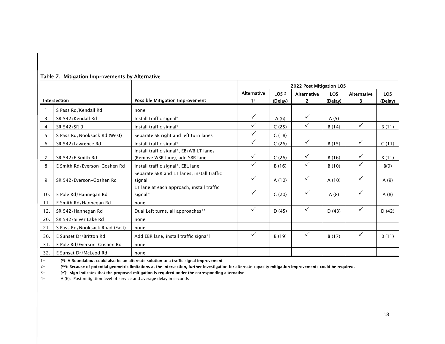|      |                                |                                                                            | 2022 Post Mitigation LOS |                  |                    |            |                    |            |  |  |
|------|--------------------------------|----------------------------------------------------------------------------|--------------------------|------------------|--------------------|------------|--------------------|------------|--|--|
|      |                                |                                                                            | <b>Alternative</b>       | LOS <sub>2</sub> | <b>Alternative</b> | <b>LOS</b> | <b>Alternative</b> | <b>LOS</b> |  |  |
|      | Intersection                   | Possible Mitigation Improvement                                            | 1 <sup>1</sup>           | (Delay)          | 2                  | (Delay)    | 3                  | (Delay)    |  |  |
|      | S Pass Rd/Kendall Rd           | none                                                                       |                          |                  |                    |            |                    |            |  |  |
| 3.   | SR 542/Kendall Rd              | Install traffic signal*                                                    | $\checkmark$             | A(6)             | $\checkmark$       | A(5)       |                    |            |  |  |
| 4.   | SR 542/SR 9                    | Install traffic signal*                                                    | ✓                        | C(25)            | ✓                  | B(14)      | $\checkmark$       | B(11)      |  |  |
| 5.   | S Pass Rd/Nooksack Rd (West)   | Separate SB right and left turn lanes                                      | $\checkmark$             | C(18)            |                    |            |                    |            |  |  |
| 6.   | SR 542/Lawrence Rd             | Install traffic signal*                                                    | ✓                        | C(26)            | $\checkmark$       | B(15)      | $\checkmark$       | C(11)      |  |  |
| 7.   | SR 542/E Smith Rd              | Install traffic signal*, EB/WB LT lanes<br>(Remove WBR lane), add SBR lane | ✓                        | C(26)            | ✓                  | B(16)      | $\checkmark$       | B(11)      |  |  |
| 8.   | E Smith Rd/Everson-Goshen Rd   | Install traffic signal*, EBL lane                                          | $\checkmark$             | B(16)            | $\checkmark$       | B(10)      | $\checkmark$       | B(9)       |  |  |
| 9.   | SR 542/Everson-Goshen Rd       | Separate SBR and LT lanes, install traffic<br>signal                       | $\checkmark$             | A(10)            | $\checkmark$       | A(10)      | ✓                  | A(9)       |  |  |
| 10.  | E Pole Rd/Hannegan Rd          | LT lane at each approach, install traffic<br>signal*                       | $\checkmark$             | C(20)            | $\checkmark$       | A(8)       | $\checkmark$       | A(8)       |  |  |
| 11.  | E Smith Rd/Hannegan Rd         | none                                                                       |                          |                  |                    |            |                    |            |  |  |
| 12.  | SR 542/Hannegan Rd             | Dual Left turns, all approaches**                                          | $\checkmark$             | D(45)            | $\checkmark$       | D(43)      | $\checkmark$       | D(42)      |  |  |
| 20.  | SR 542/Silver Lake Rd          | none                                                                       |                          |                  |                    |            |                    |            |  |  |
| 21.  | S Pass Rd/Nooksack Road (East) | none                                                                       |                          |                  |                    |            |                    |            |  |  |
| 30.  | E Sunset Dr/Britton Rd         | Add EBR lane, install traffic signa*l                                      | $\checkmark$             | B(19)            | $\checkmark$       | B(17)      | $\checkmark$       | B(11)      |  |  |
| 31.  | E Pole Rd/Everson-Goshen Rd    | none                                                                       |                          |                  |                    |            |                    |            |  |  |
| 32.1 | E Sunset Dr/McLeod Rd          | none                                                                       |                          |                  |                    |            |                    |            |  |  |

#### Table 7. Mitigation Improvements by Alternative

1-(\*): A Roundabout could also be an alternate solution to a traffic signal improvement

2-(\*\*): Because of potential geometric limitations at the intersection, further investigation for alternate capacity mitigation improvements could be required.

3- $\langle \checkmark \rangle$ : sign indicates that the proposed mitigation is required under the corresponding alternative

4-A (6): Post mitigation level of service and average delay in seconds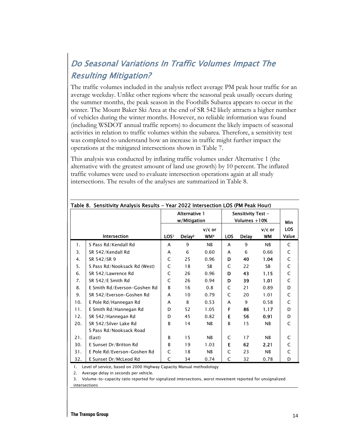# Do Seasonal Variations In Traffic Volumes Impact The Resulting Mitigation?

The traffic volumes included in the analysis reflect average PM peak hour traffic for an average weekday. Unlike other regions where the seasonal peak usually occurs during the summer months, the peak season in the Foothills Subarea appears to occur in the winter. The Mount Baker Ski Area at the end of SR 542 likely attracts a higher number of vehicles during the winter months. However, no reliable information was found (including WSDOT annual traffic reports) to document the likely impacts of seasonal activities in relation to traffic volumes within the subarea. Therefore, a sensitivity test was completed to understand how an increase in traffic might further impact the operations at the mitigated intersections shown in Table 7.

This analysis was conducted by inflating traffic volumes under Alternative 1 (the alternative with the greatest amount of land use growth) by 10 percent. The inflated traffic volumes were used to evaluate intersection operations again at all study intersections. The results of the analyses are summarized in Table 8.

| Table 8.  Sensitivity Analysis Results – Year 2022 Intersection LOS (PM Peak Hour) |                              |                  |                    |                 |                    |              |           |             |  |  |  |
|------------------------------------------------------------------------------------|------------------------------|------------------|--------------------|-----------------|--------------------|--------------|-----------|-------------|--|--|--|
|                                                                                    |                              |                  | Alternative 1      |                 | Sensitivity Test - |              |           |             |  |  |  |
|                                                                                    |                              |                  | w/Mitigation       |                 | Volumes +10%       | Min          |           |             |  |  |  |
|                                                                                    |                              |                  |                    | $v/c$ or        |                    |              | $v/c$ or  | <b>LOS</b>  |  |  |  |
|                                                                                    | Intersection                 | LOS <sup>1</sup> | Delay <sup>2</sup> | WM <sup>3</sup> | LOS.               | <b>Delay</b> | <b>WM</b> | Value       |  |  |  |
| 1.                                                                                 | S Pass Rd/Kendall Rd         | A                | 9                  | <b>NB</b>       | A                  | 9            | NB        | C           |  |  |  |
| 3.                                                                                 | SR 542/Kendall Rd            | A                | 6                  | 0.60            | A                  | 6            | 0.66      | C           |  |  |  |
| 4.                                                                                 | SR 542/SR 9                  | C                | 25                 | 0.96            | D                  | 40           | 1.04      | C           |  |  |  |
| 5.                                                                                 | S Pass Rd/Nooksack Rd (West) | C                | 18                 | SB              | C                  | 22           | <b>SB</b> | $\mathsf C$ |  |  |  |
| 6.                                                                                 | SR 542/Lawrence Rd           | C                | 26                 | 0.96            | D                  | 43           | 1.15      | C           |  |  |  |
| 7.                                                                                 | SR 542/E Smith Rd            | C                | 26                 | 0.94            | D                  | 39           | 1.01      | C           |  |  |  |
| 8.                                                                                 | E Smith Rd/Everson-Goshen Rd | B                | 16                 | 0.8             | C                  | 21           | 0.89      | D           |  |  |  |
| 9.                                                                                 | SR 542/Everson-Goshen Rd     | A                | 10                 | 0.79            | C                  | 20           | 1.01      | C           |  |  |  |
| 10.                                                                                | E Pole Rd/Hannegan Rd        | A                | 8                  | 0.53            | A                  | 9            | 0.58      | C           |  |  |  |
| 11.                                                                                | E Smith Rd/Hannegan Rd       | D                | 52                 | 1.05            | F                  | 86           | 1.17      | D           |  |  |  |
| 12.                                                                                | SR 542/Hannegan Rd           | D                | 45                 | 0.82            | E                  | 56           | 0.91      | D           |  |  |  |
| 20.                                                                                | SR 542/Silver Lake Rd        | B                | 14                 | <b>NB</b>       | B                  | 15           | NB        | C           |  |  |  |
|                                                                                    | S Pass Rd/Nooksack Road      |                  |                    |                 |                    |              |           |             |  |  |  |
| 21.                                                                                | (East)                       | B                | 15                 | <b>NB</b>       | C                  | 17           | NB        | C           |  |  |  |
| 30.                                                                                | E Sunset Dr/Britton Rd       | B                | 19                 | 1.03            | E                  | 62           | 2.21      | C           |  |  |  |
| 31.                                                                                | E Pole Rd/Everson-Goshen Rd  | C                | 18                 | <b>NB</b>       | C                  | 23           | NB        | C           |  |  |  |
| 32.                                                                                | E Sunset Dr/McLeod Rd        | C                | 34                 | 0.74            | C                  | 32           | 0.78      | D           |  |  |  |

1. Level of service, based on 2000 Highway Capacity Manual methodology

2. Average delay in seconds per vehicle.

3. Volume-to-capacity ratio reported for signalized intersections, worst movement reported for unsignalized intersections